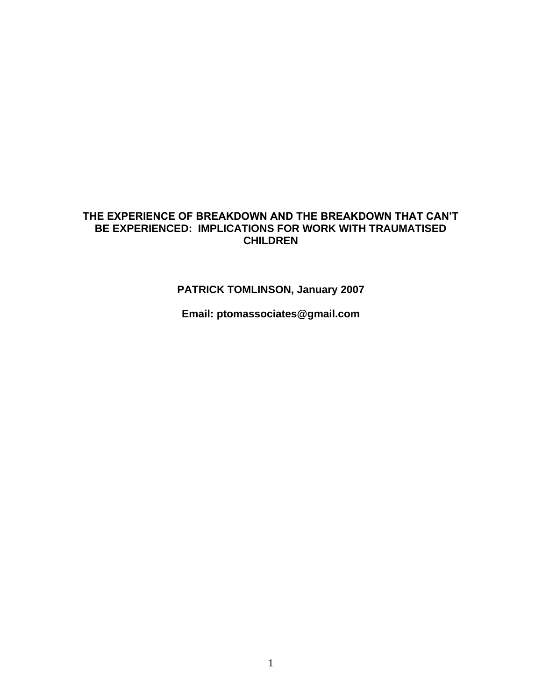### **THE EXPERIENCE OF BREAKDOWN AND THE BREAKDOWN THAT CAN'T BE EXPERIENCED: IMPLICATIONS FOR WORK WITH TRAUMATISED CHILDREN**

# **PATRICK TOMLINSON, January 2007**

**Email: ptomassociates@gmail.com**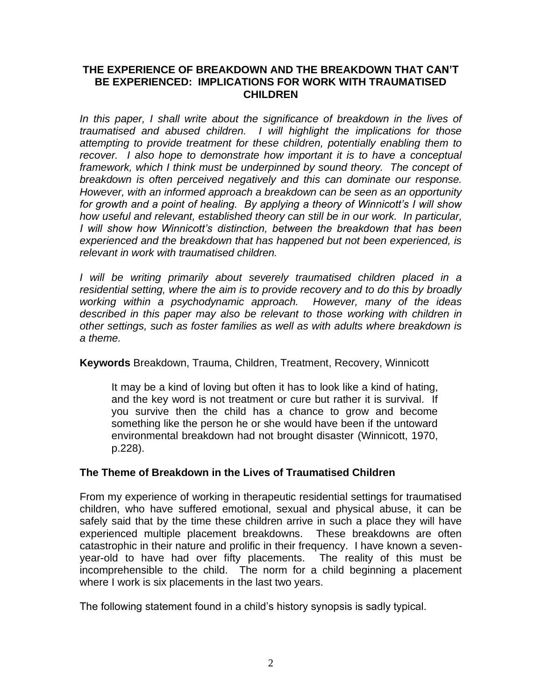### **THE EXPERIENCE OF BREAKDOWN AND THE BREAKDOWN THAT CAN'T BE EXPERIENCED: IMPLICATIONS FOR WORK WITH TRAUMATISED CHILDREN**

*In this paper, I shall write about the significance of breakdown in the lives of traumatised and abused children. I will highlight the implications for those attempting to provide treatment for these children, potentially enabling them to recover. I also hope to demonstrate how important it is to have a conceptual framework, which I think must be underpinned by sound theory. The concept of breakdown is often perceived negatively and this can dominate our response. However, with an informed approach a breakdown can be seen as an opportunity for growth and a point of healing. By applying a theory of Winnicott's I will show how useful and relevant, established theory can still be in our work. In particular, I* will show how Winnicott's distinction, between the breakdown that has been *experienced and the breakdown that has happened but not been experienced, is relevant in work with traumatised children.* 

*I will be writing primarily about severely traumatised children placed in a residential setting, where the aim is to provide recovery and to do this by broadly working within a psychodynamic approach. However, many of the ideas described in this paper may also be relevant to those working with children in other settings, such as foster families as well as with adults where breakdown is a theme.* 

### **Keywords** Breakdown, Trauma, Children, Treatment, Recovery, Winnicott

It may be a kind of loving but often it has to look like a kind of hating, and the key word is not treatment or cure but rather it is survival. If you survive then the child has a chance to grow and become something like the person he or she would have been if the untoward environmental breakdown had not brought disaster (Winnicott, 1970, p.228).

### **The Theme of Breakdown in the Lives of Traumatised Children**

From my experience of working in therapeutic residential settings for traumatised children, who have suffered emotional, sexual and physical abuse, it can be safely said that by the time these children arrive in such a place they will have experienced multiple placement breakdowns. These breakdowns are often catastrophic in their nature and prolific in their frequency. I have known a sevenyear-old to have had over fifty placements. The reality of this must be incomprehensible to the child. The norm for a child beginning a placement where I work is six placements in the last two years.

The following statement found in a child's history synopsis is sadly typical.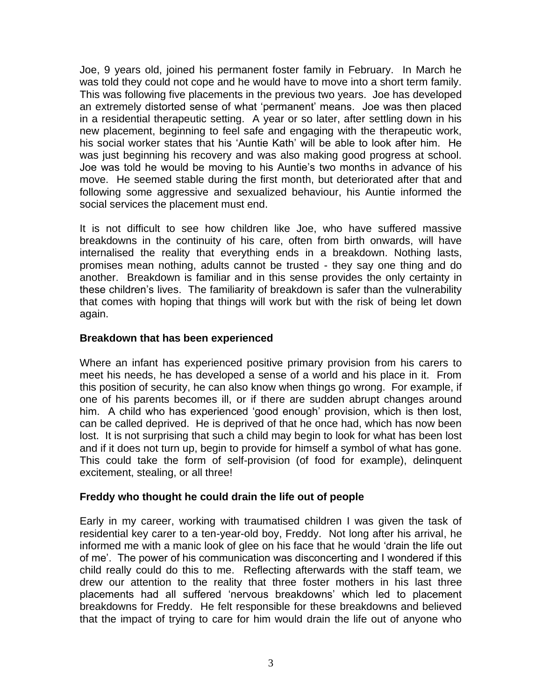Joe, 9 years old, joined his permanent foster family in February. In March he was told they could not cope and he would have to move into a short term family. This was following five placements in the previous two years. Joe has developed an extremely distorted sense of what 'permanent' means. Joe was then placed in a residential therapeutic setting. A year or so later, after settling down in his new placement, beginning to feel safe and engaging with the therapeutic work, his social worker states that his 'Auntie Kath' will be able to look after him. He was just beginning his recovery and was also making good progress at school. Joe was told he would be moving to his Auntie's two months in advance of his move. He seemed stable during the first month, but deteriorated after that and following some aggressive and sexualized behaviour, his Auntie informed the social services the placement must end.

It is not difficult to see how children like Joe, who have suffered massive breakdowns in the continuity of his care, often from birth onwards, will have internalised the reality that everything ends in a breakdown. Nothing lasts, promises mean nothing, adults cannot be trusted - they say one thing and do another. Breakdown is familiar and in this sense provides the only certainty in these children's lives. The familiarity of breakdown is safer than the vulnerability that comes with hoping that things will work but with the risk of being let down again.

### **Breakdown that has been experienced**

Where an infant has experienced positive primary provision from his carers to meet his needs, he has developed a sense of a world and his place in it. From this position of security, he can also know when things go wrong. For example, if one of his parents becomes ill, or if there are sudden abrupt changes around him. A child who has experienced 'good enough' provision, which is then lost, can be called deprived. He is deprived of that he once had, which has now been lost. It is not surprising that such a child may begin to look for what has been lost and if it does not turn up, begin to provide for himself a symbol of what has gone. This could take the form of self-provision (of food for example), delinquent excitement, stealing, or all three!

### **Freddy who thought he could drain the life out of people**

Early in my career, working with traumatised children I was given the task of residential key carer to a ten-year-old boy, Freddy. Not long after his arrival, he informed me with a manic look of glee on his face that he would 'drain the life out of me'. The power of his communication was disconcerting and I wondered if this child really could do this to me. Reflecting afterwards with the staff team, we drew our attention to the reality that three foster mothers in his last three placements had all suffered 'nervous breakdowns' which led to placement breakdowns for Freddy. He felt responsible for these breakdowns and believed that the impact of trying to care for him would drain the life out of anyone who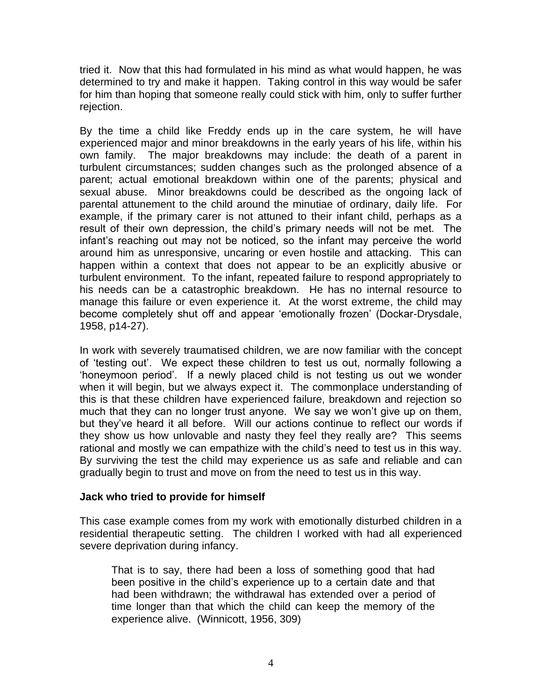tried it. Now that this had formulated in his mind as what would happen, he was determined to try and make it happen. Taking control in this way would be safer for him than hoping that someone really could stick with him, only to suffer further rejection.

By the time a child like Freddy ends up in the care system, he will have experienced major and minor breakdowns in the early years of his life, within his own family. The major breakdowns may include: the death of a parent in turbulent circumstances; sudden changes such as the prolonged absence of a parent; actual emotional breakdown within one of the parents; physical and sexual abuse. Minor breakdowns could be described as the ongoing lack of parental attunement to the child around the minutiae of ordinary, daily life. For example, if the primary carer is not attuned to their infant child, perhaps as a result of their own depression, the child's primary needs will not be met. The infant's reaching out may not be noticed, so the infant may perceive the world around him as unresponsive, uncaring or even hostile and attacking. This can happen within a context that does not appear to be an explicitly abusive or turbulent environment. To the infant, repeated failure to respond appropriately to his needs can be a catastrophic breakdown. He has no internal resource to manage this failure or even experience it. At the worst extreme, the child may become completely shut off and appear 'emotionally frozen' (Dockar-Drysdale, 1958, p14-27).

In work with severely traumatised children, we are now familiar with the concept of 'testing out'. We expect these children to test us out, normally following a 'honeymoon period'. If a newly placed child is not testing us out we wonder when it will begin, but we always expect it. The commonplace understanding of this is that these children have experienced failure, breakdown and rejection so much that they can no longer trust anyone. We say we won't give up on them, but they've heard it all before. Will our actions continue to reflect our words if they show us how unlovable and nasty they feel they really are? This seems rational and mostly we can empathize with the child's need to test us in this way. By surviving the test the child may experience us as safe and reliable and can gradually begin to trust and move on from the need to test us in this way.

### **Jack who tried to provide for himself**

This case example comes from my work with emotionally disturbed children in a residential therapeutic setting. The children I worked with had all experienced severe deprivation during infancy.

That is to say, there had been a loss of something good that had been positive in the child's experience up to a certain date and that had been withdrawn; the withdrawal has extended over a period of time longer than that which the child can keep the memory of the experience alive. (Winnicott, 1956, 309)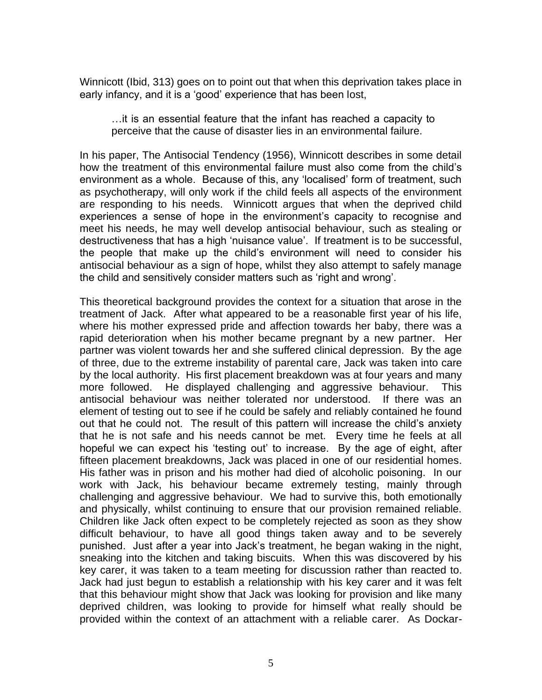Winnicott (Ibid, 313) goes on to point out that when this deprivation takes place in early infancy, and it is a 'good' experience that has been lost,

…it is an essential feature that the infant has reached a capacity to perceive that the cause of disaster lies in an environmental failure.

In his paper, The Antisocial Tendency (1956), Winnicott describes in some detail how the treatment of this environmental failure must also come from the child's environment as a whole. Because of this, any 'localised' form of treatment, such as psychotherapy, will only work if the child feels all aspects of the environment are responding to his needs. Winnicott argues that when the deprived child experiences a sense of hope in the environment's capacity to recognise and meet his needs, he may well develop antisocial behaviour, such as stealing or destructiveness that has a high 'nuisance value'. If treatment is to be successful, the people that make up the child's environment will need to consider his antisocial behaviour as a sign of hope, whilst they also attempt to safely manage the child and sensitively consider matters such as 'right and wrong'.

This theoretical background provides the context for a situation that arose in the treatment of Jack. After what appeared to be a reasonable first year of his life, where his mother expressed pride and affection towards her baby, there was a rapid deterioration when his mother became pregnant by a new partner. Her partner was violent towards her and she suffered clinical depression. By the age of three, due to the extreme instability of parental care, Jack was taken into care by the local authority. His first placement breakdown was at four years and many more followed. He displayed challenging and aggressive behaviour. This antisocial behaviour was neither tolerated nor understood. If there was an element of testing out to see if he could be safely and reliably contained he found out that he could not. The result of this pattern will increase the child's anxiety that he is not safe and his needs cannot be met. Every time he feels at all hopeful we can expect his 'testing out' to increase. By the age of eight, after fifteen placement breakdowns, Jack was placed in one of our residential homes. His father was in prison and his mother had died of alcoholic poisoning. In our work with Jack, his behaviour became extremely testing, mainly through challenging and aggressive behaviour. We had to survive this, both emotionally and physically, whilst continuing to ensure that our provision remained reliable. Children like Jack often expect to be completely rejected as soon as they show difficult behaviour, to have all good things taken away and to be severely punished. Just after a year into Jack's treatment, he began waking in the night, sneaking into the kitchen and taking biscuits. When this was discovered by his key carer, it was taken to a team meeting for discussion rather than reacted to. Jack had just begun to establish a relationship with his key carer and it was felt that this behaviour might show that Jack was looking for provision and like many deprived children, was looking to provide for himself what really should be provided within the context of an attachment with a reliable carer. As Dockar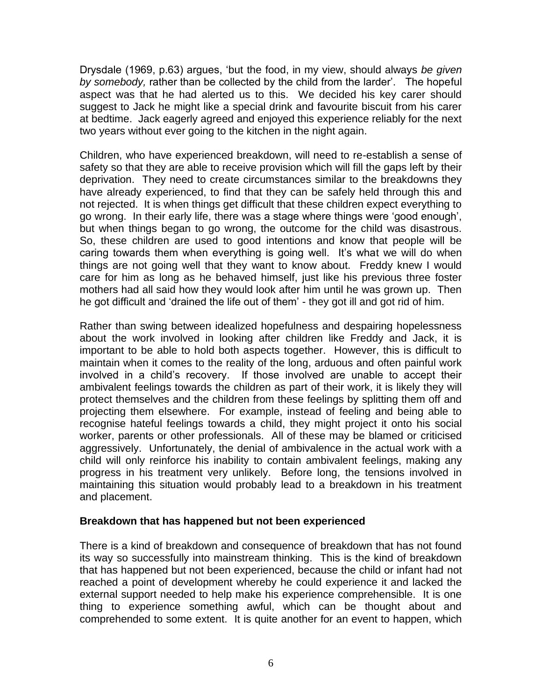Drysdale (1969, p.63) argues, 'but the food, in my view, should always *be given by somebody,* rather than be collected by the child from the larder'. The hopeful aspect was that he had alerted us to this. We decided his key carer should suggest to Jack he might like a special drink and favourite biscuit from his carer at bedtime. Jack eagerly agreed and enjoyed this experience reliably for the next two years without ever going to the kitchen in the night again.

Children, who have experienced breakdown, will need to re-establish a sense of safety so that they are able to receive provision which will fill the gaps left by their deprivation. They need to create circumstances similar to the breakdowns they have already experienced, to find that they can be safely held through this and not rejected. It is when things get difficult that these children expect everything to go wrong. In their early life, there was a stage where things were 'good enough', but when things began to go wrong, the outcome for the child was disastrous. So, these children are used to good intentions and know that people will be caring towards them when everything is going well. It's what we will do when things are not going well that they want to know about. Freddy knew I would care for him as long as he behaved himself, just like his previous three foster mothers had all said how they would look after him until he was grown up. Then he got difficult and 'drained the life out of them' - they got ill and got rid of him.

Rather than swing between idealized hopefulness and despairing hopelessness about the work involved in looking after children like Freddy and Jack, it is important to be able to hold both aspects together. However, this is difficult to maintain when it comes to the reality of the long, arduous and often painful work involved in a child's recovery. If those involved are unable to accept their ambivalent feelings towards the children as part of their work, it is likely they will protect themselves and the children from these feelings by splitting them off and projecting them elsewhere. For example, instead of feeling and being able to recognise hateful feelings towards a child, they might project it onto his social worker, parents or other professionals. All of these may be blamed or criticised aggressively. Unfortunately, the denial of ambivalence in the actual work with a child will only reinforce his inability to contain ambivalent feelings, making any progress in his treatment very unlikely. Before long, the tensions involved in maintaining this situation would probably lead to a breakdown in his treatment and placement.

### **Breakdown that has happened but not been experienced**

There is a kind of breakdown and consequence of breakdown that has not found its way so successfully into mainstream thinking. This is the kind of breakdown that has happened but not been experienced, because the child or infant had not reached a point of development whereby he could experience it and lacked the external support needed to help make his experience comprehensible. It is one thing to experience something awful, which can be thought about and comprehended to some extent. It is quite another for an event to happen, which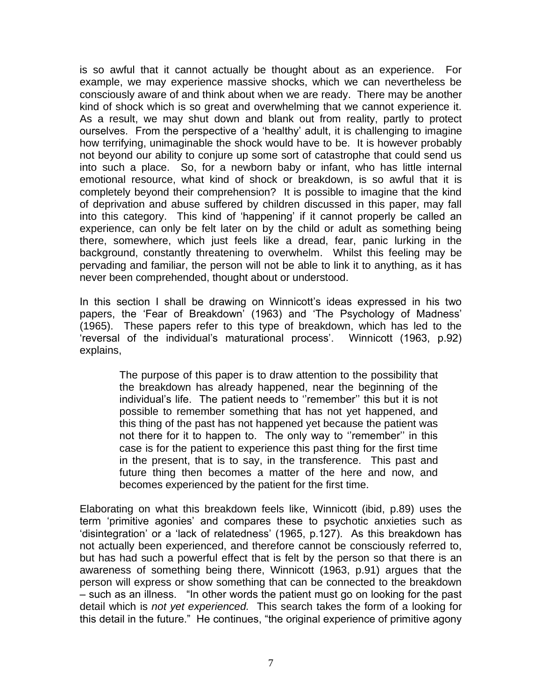is so awful that it cannot actually be thought about as an experience. For example, we may experience massive shocks, which we can nevertheless be consciously aware of and think about when we are ready. There may be another kind of shock which is so great and overwhelming that we cannot experience it. As a result, we may shut down and blank out from reality, partly to protect ourselves. From the perspective of a 'healthy' adult, it is challenging to imagine how terrifying, unimaginable the shock would have to be. It is however probably not beyond our ability to conjure up some sort of catastrophe that could send us into such a place. So, for a newborn baby or infant, who has little internal emotional resource, what kind of shock or breakdown, is so awful that it is completely beyond their comprehension? It is possible to imagine that the kind of deprivation and abuse suffered by children discussed in this paper, may fall into this category. This kind of 'happening' if it cannot properly be called an experience, can only be felt later on by the child or adult as something being there, somewhere, which just feels like a dread, fear, panic lurking in the background, constantly threatening to overwhelm. Whilst this feeling may be pervading and familiar, the person will not be able to link it to anything, as it has never been comprehended, thought about or understood.

In this section I shall be drawing on Winnicott's ideas expressed in his two papers, the 'Fear of Breakdown' (1963) and 'The Psychology of Madness' (1965). These papers refer to this type of breakdown, which has led to the 'reversal of the individual's maturational process'. Winnicott (1963, p.92) explains,

> The purpose of this paper is to draw attention to the possibility that the breakdown has already happened, near the beginning of the individual's life. The patient needs to ''remember'' this but it is not possible to remember something that has not yet happened, and this thing of the past has not happened yet because the patient was not there for it to happen to. The only way to ''remember'' in this case is for the patient to experience this past thing for the first time in the present, that is to say, in the transference. This past and future thing then becomes a matter of the here and now, and becomes experienced by the patient for the first time.

Elaborating on what this breakdown feels like, Winnicott (ibid, p.89) uses the term 'primitive agonies' and compares these to psychotic anxieties such as 'disintegration' or a 'lack of relatedness' (1965, p.127). As this breakdown has not actually been experienced, and therefore cannot be consciously referred to, but has had such a powerful effect that is felt by the person so that there is an awareness of something being there, Winnicott (1963, p.91) argues that the person will express or show something that can be connected to the breakdown – such as an illness. "In other words the patient must go on looking for the past detail which is *not yet experienced.* This search takes the form of a looking for this detail in the future." He continues, "the original experience of primitive agony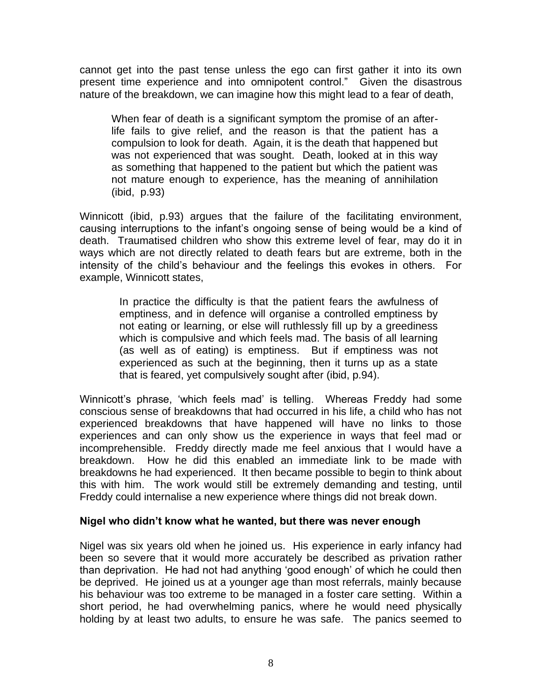cannot get into the past tense unless the ego can first gather it into its own present time experience and into omnipotent control." Given the disastrous nature of the breakdown, we can imagine how this might lead to a fear of death,

When fear of death is a significant symptom the promise of an afterlife fails to give relief, and the reason is that the patient has a compulsion to look for death. Again, it is the death that happened but was not experienced that was sought. Death, looked at in this way as something that happened to the patient but which the patient was not mature enough to experience, has the meaning of annihilation (ibid, p.93)

Winnicott (ibid, p.93) argues that the failure of the facilitating environment, causing interruptions to the infant's ongoing sense of being would be a kind of death. Traumatised children who show this extreme level of fear, may do it in ways which are not directly related to death fears but are extreme, both in the intensity of the child's behaviour and the feelings this evokes in others. For example, Winnicott states,

> In practice the difficulty is that the patient fears the awfulness of emptiness, and in defence will organise a controlled emptiness by not eating or learning, or else will ruthlessly fill up by a greediness which is compulsive and which feels mad. The basis of all learning (as well as of eating) is emptiness. But if emptiness was not experienced as such at the beginning, then it turns up as a state that is feared, yet compulsively sought after (ibid, p.94).

Winnicott's phrase, 'which feels mad' is telling. Whereas Freddy had some conscious sense of breakdowns that had occurred in his life, a child who has not experienced breakdowns that have happened will have no links to those experiences and can only show us the experience in ways that feel mad or incomprehensible. Freddy directly made me feel anxious that I would have a breakdown. How he did this enabled an immediate link to be made with breakdowns he had experienced. It then became possible to begin to think about this with him. The work would still be extremely demanding and testing, until Freddy could internalise a new experience where things did not break down.

### **Nigel who didn't know what he wanted, but there was never enough**

Nigel was six years old when he joined us. His experience in early infancy had been so severe that it would more accurately be described as privation rather than deprivation. He had not had anything 'good enough' of which he could then be deprived. He joined us at a younger age than most referrals, mainly because his behaviour was too extreme to be managed in a foster care setting. Within a short period, he had overwhelming panics, where he would need physically holding by at least two adults, to ensure he was safe. The panics seemed to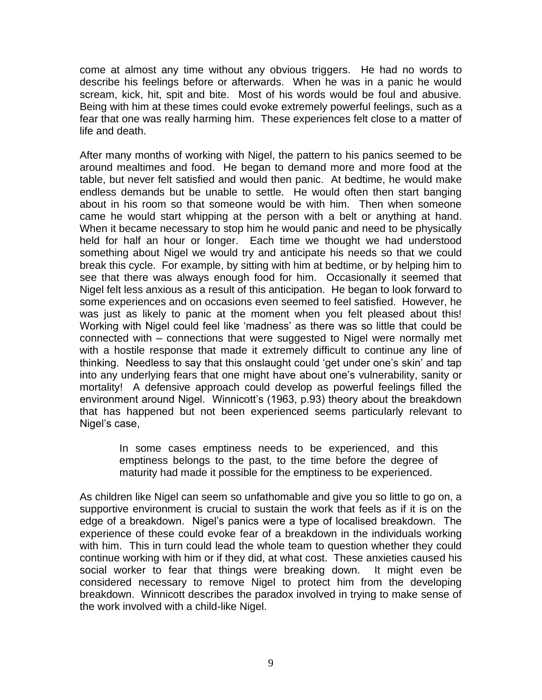come at almost any time without any obvious triggers. He had no words to describe his feelings before or afterwards. When he was in a panic he would scream, kick, hit, spit and bite. Most of his words would be foul and abusive. Being with him at these times could evoke extremely powerful feelings, such as a fear that one was really harming him. These experiences felt close to a matter of life and death.

After many months of working with Nigel, the pattern to his panics seemed to be around mealtimes and food. He began to demand more and more food at the table, but never felt satisfied and would then panic. At bedtime, he would make endless demands but be unable to settle. He would often then start banging about in his room so that someone would be with him. Then when someone came he would start whipping at the person with a belt or anything at hand. When it became necessary to stop him he would panic and need to be physically held for half an hour or longer. Each time we thought we had understood something about Nigel we would try and anticipate his needs so that we could break this cycle. For example, by sitting with him at bedtime, or by helping him to see that there was always enough food for him. Occasionally it seemed that Nigel felt less anxious as a result of this anticipation. He began to look forward to some experiences and on occasions even seemed to feel satisfied. However, he was just as likely to panic at the moment when you felt pleased about this! Working with Nigel could feel like 'madness' as there was so little that could be connected with – connections that were suggested to Nigel were normally met with a hostile response that made it extremely difficult to continue any line of thinking. Needless to say that this onslaught could 'get under one's skin' and tap into any underlying fears that one might have about one's vulnerability, sanity or mortality! A defensive approach could develop as powerful feelings filled the environment around Nigel. Winnicott's (1963, p.93) theory about the breakdown that has happened but not been experienced seems particularly relevant to Nigel's case,

> In some cases emptiness needs to be experienced, and this emptiness belongs to the past, to the time before the degree of maturity had made it possible for the emptiness to be experienced.

As children like Nigel can seem so unfathomable and give you so little to go on, a supportive environment is crucial to sustain the work that feels as if it is on the edge of a breakdown. Nigel's panics were a type of localised breakdown. The experience of these could evoke fear of a breakdown in the individuals working with him. This in turn could lead the whole team to question whether they could continue working with him or if they did, at what cost. These anxieties caused his social worker to fear that things were breaking down. It might even be considered necessary to remove Nigel to protect him from the developing breakdown. Winnicott describes the paradox involved in trying to make sense of the work involved with a child-like Nigel.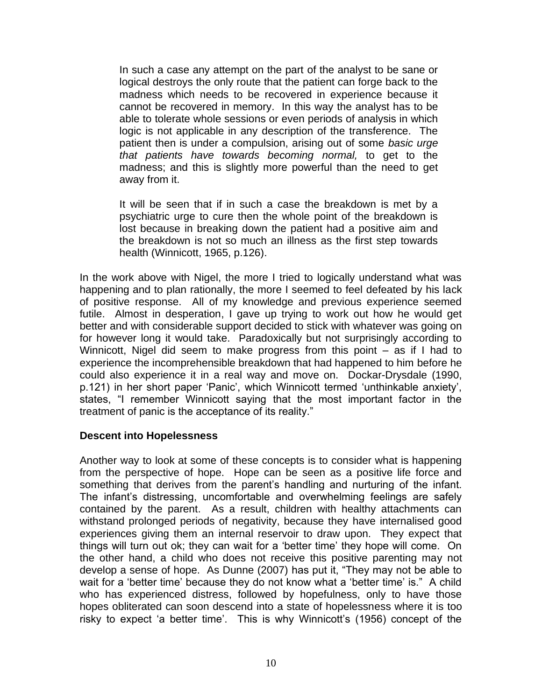In such a case any attempt on the part of the analyst to be sane or logical destroys the only route that the patient can forge back to the madness which needs to be recovered in experience because it cannot be recovered in memory. In this way the analyst has to be able to tolerate whole sessions or even periods of analysis in which logic is not applicable in any description of the transference. The patient then is under a compulsion, arising out of some *basic urge that patients have towards becoming normal,* to get to the madness; and this is slightly more powerful than the need to get away from it.

It will be seen that if in such a case the breakdown is met by a psychiatric urge to cure then the whole point of the breakdown is lost because in breaking down the patient had a positive aim and the breakdown is not so much an illness as the first step towards health (Winnicott, 1965, p.126).

In the work above with Nigel, the more I tried to logically understand what was happening and to plan rationally, the more I seemed to feel defeated by his lack of positive response. All of my knowledge and previous experience seemed futile. Almost in desperation, I gave up trying to work out how he would get better and with considerable support decided to stick with whatever was going on for however long it would take. Paradoxically but not surprisingly according to Winnicott, Nigel did seem to make progress from this point – as if I had to experience the incomprehensible breakdown that had happened to him before he could also experience it in a real way and move on. Dockar-Drysdale (1990, p.121) in her short paper 'Panic', which Winnicott termed 'unthinkable anxiety', states, "I remember Winnicott saying that the most important factor in the treatment of panic is the acceptance of its reality."

### **Descent into Hopelessness**

Another way to look at some of these concepts is to consider what is happening from the perspective of hope. Hope can be seen as a positive life force and something that derives from the parent's handling and nurturing of the infant. The infant's distressing, uncomfortable and overwhelming feelings are safely contained by the parent. As a result, children with healthy attachments can withstand prolonged periods of negativity, because they have internalised good experiences giving them an internal reservoir to draw upon. They expect that things will turn out ok; they can wait for a 'better time' they hope will come. On the other hand, a child who does not receive this positive parenting may not develop a sense of hope. As Dunne (2007) has put it, "They may not be able to wait for a 'better time' because they do not know what a 'better time' is." A child who has experienced distress, followed by hopefulness, only to have those hopes obliterated can soon descend into a state of hopelessness where it is too risky to expect 'a better time'. This is why Winnicott's (1956) concept of the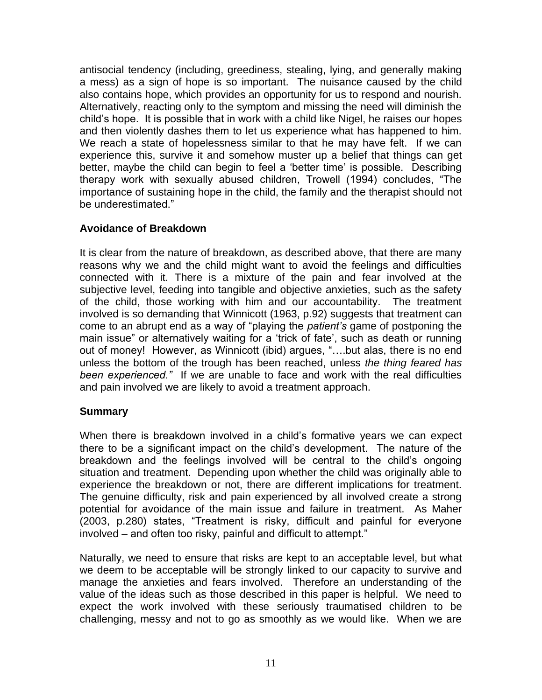antisocial tendency (including, greediness, stealing, lying, and generally making a mess) as a sign of hope is so important. The nuisance caused by the child also contains hope, which provides an opportunity for us to respond and nourish. Alternatively, reacting only to the symptom and missing the need will diminish the child's hope. It is possible that in work with a child like Nigel, he raises our hopes and then violently dashes them to let us experience what has happened to him. We reach a state of hopelessness similar to that he may have felt. If we can experience this, survive it and somehow muster up a belief that things can get better, maybe the child can begin to feel a 'better time' is possible. Describing therapy work with sexually abused children, Trowell (1994) concludes, "The importance of sustaining hope in the child, the family and the therapist should not be underestimated."

## **Avoidance of Breakdown**

It is clear from the nature of breakdown, as described above, that there are many reasons why we and the child might want to avoid the feelings and difficulties connected with it. There is a mixture of the pain and fear involved at the subjective level, feeding into tangible and objective anxieties, such as the safety of the child, those working with him and our accountability. The treatment involved is so demanding that Winnicott (1963, p.92) suggests that treatment can come to an abrupt end as a way of "playing the *patient's* game of postponing the main issue" or alternatively waiting for a 'trick of fate', such as death or running out of money! However, as Winnicott (ibid) argues, "….but alas, there is no end unless the bottom of the trough has been reached, unless *the thing feared has been experienced."* If we are unable to face and work with the real difficulties and pain involved we are likely to avoid a treatment approach.

### **Summary**

When there is breakdown involved in a child's formative years we can expect there to be a significant impact on the child's development. The nature of the breakdown and the feelings involved will be central to the child's ongoing situation and treatment. Depending upon whether the child was originally able to experience the breakdown or not, there are different implications for treatment. The genuine difficulty, risk and pain experienced by all involved create a strong potential for avoidance of the main issue and failure in treatment. As Maher (2003, p.280) states, "Treatment is risky, difficult and painful for everyone involved – and often too risky, painful and difficult to attempt."

Naturally, we need to ensure that risks are kept to an acceptable level, but what we deem to be acceptable will be strongly linked to our capacity to survive and manage the anxieties and fears involved. Therefore an understanding of the value of the ideas such as those described in this paper is helpful. We need to expect the work involved with these seriously traumatised children to be challenging, messy and not to go as smoothly as we would like. When we are